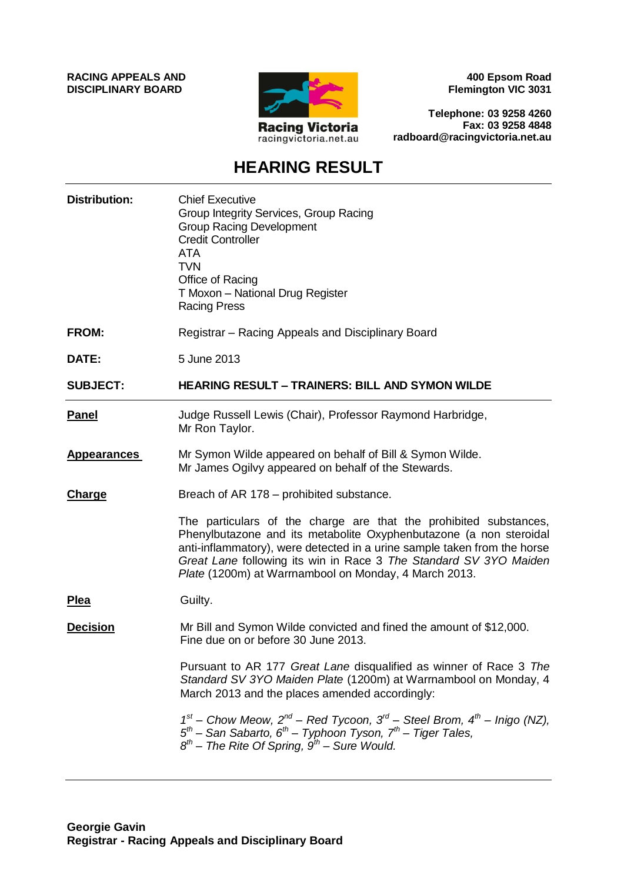**RACING APPEALS AND DISCIPLINARY BOARD**



**400 Epsom Road Flemington VIC 3031**

**Telephone: 03 9258 4260 Fax: 03 9258 4848 radboard@racingvictoria.net.au**

# **HEARING RESULT**

| <b>Distribution:</b> | <b>Chief Executive</b><br>Group Integrity Services, Group Racing<br><b>Group Racing Development</b><br><b>Credit Controller</b><br><b>ATA</b><br><b>TVN</b><br>Office of Racing<br>T Moxon - National Drug Register<br><b>Racing Press</b>                                                                                                        |
|----------------------|---------------------------------------------------------------------------------------------------------------------------------------------------------------------------------------------------------------------------------------------------------------------------------------------------------------------------------------------------|
| <b>FROM:</b>         | Registrar - Racing Appeals and Disciplinary Board                                                                                                                                                                                                                                                                                                 |
| DATE:                | 5 June 2013                                                                                                                                                                                                                                                                                                                                       |
| <b>SUBJECT:</b>      | <b>HEARING RESULT - TRAINERS: BILL AND SYMON WILDE</b>                                                                                                                                                                                                                                                                                            |
| <b>Panel</b>         | Judge Russell Lewis (Chair), Professor Raymond Harbridge,<br>Mr Ron Taylor.                                                                                                                                                                                                                                                                       |
| <b>Appearances</b>   | Mr Symon Wilde appeared on behalf of Bill & Symon Wilde.<br>Mr James Ogilvy appeared on behalf of the Stewards.                                                                                                                                                                                                                                   |
| Charge               | Breach of AR 178 – prohibited substance.                                                                                                                                                                                                                                                                                                          |
|                      | The particulars of the charge are that the prohibited substances,<br>Phenylbutazone and its metabolite Oxyphenbutazone (a non steroidal<br>anti-inflammatory), were detected in a urine sample taken from the horse<br>Great Lane following its win in Race 3 The Standard SV 3YO Maiden<br>Plate (1200m) at Warrnambool on Monday, 4 March 2013. |
| <u>Plea</u>          | Guilty.                                                                                                                                                                                                                                                                                                                                           |
| <b>Decision</b>      | Mr Bill and Symon Wilde convicted and fined the amount of \$12,000.<br>Fine due on or before 30 June 2013.                                                                                                                                                                                                                                        |
|                      | Pursuant to AR 177 Great Lane disqualified as winner of Race 3 The<br>Standard SV 3YO Maiden Plate (1200m) at Warrnambool on Monday, 4<br>March 2013 and the places amended accordingly:                                                                                                                                                          |
|                      | $1^{st}$ – Chow Meow, $2^{nd}$ – Red Tycoon, $3^{rd}$ – Steel Brom, $4^{th}$ – Inigo (NZ),<br>$5th$ – San Sabarto, 6 <sup>th</sup> – Typhoon Tyson, 7 <sup>th</sup> – Tiger Tales,<br>$8^{th}$ – The Rite Of Spring, $9^{th}$ – Sure Would.                                                                                                       |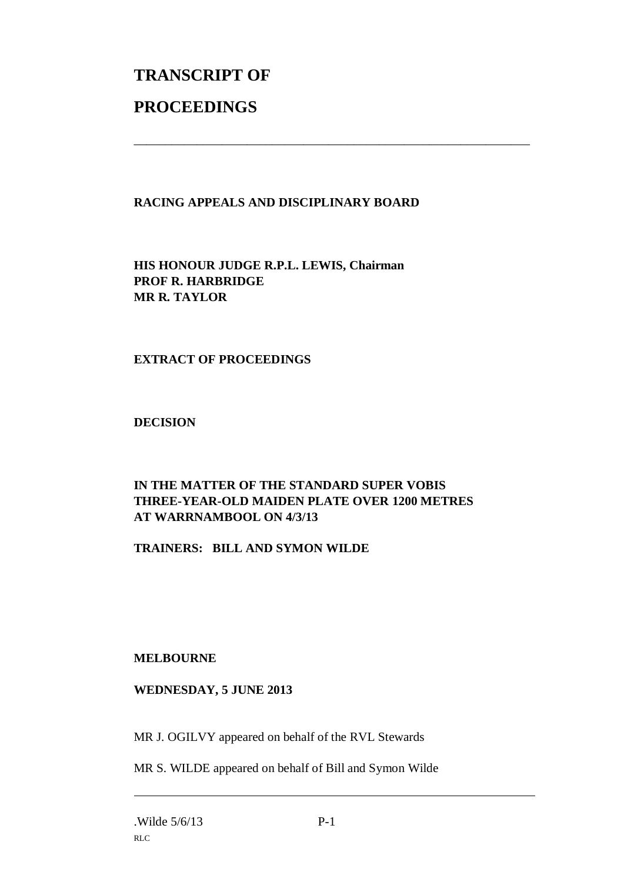# **TRANSCRIPT OF PROCEEDINGS**

## **RACING APPEALS AND DISCIPLINARY BOARD**

\_\_\_\_\_\_\_\_\_\_\_\_\_\_\_\_\_\_\_\_\_\_\_\_\_\_\_\_\_\_\_\_\_\_\_\_\_\_\_\_\_\_\_\_\_\_\_\_\_\_\_\_\_\_\_\_\_\_\_\_\_\_\_

**HIS HONOUR JUDGE R.P.L. LEWIS, Chairman PROF R. HARBRIDGE MR R. TAYLOR**

### **EXTRACT OF PROCEEDINGS**

**DECISION**

## **IN THE MATTER OF THE STANDARD SUPER VOBIS THREE-YEAR-OLD MAIDEN PLATE OVER 1200 METRES AT WARRNAMBOOL ON 4/3/13**

**TRAINERS: BILL AND SYMON WILDE**

#### **MELBOURNE**

#### **WEDNESDAY, 5 JUNE 2013**

MR J. OGILVY appeared on behalf of the RVL Stewards

MR S. WILDE appeared on behalf of Bill and Symon Wilde